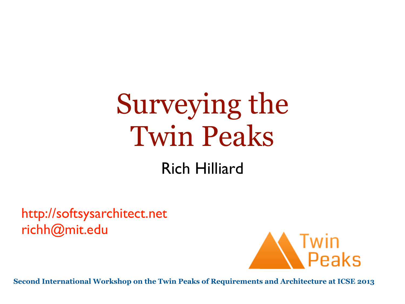# Surveying the Twin Peaks

#### Rich Hilliard

<http://softsysarchitect.net> [richh@mit.edu](mailto:richh@mit.edu)



**Second International Workshop on the Twin Peaks of Requirements and Architecture at ICSE 2013**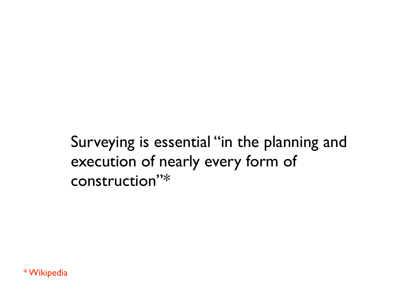Surveying is essential "in the planning and execution of nearly every form of construction"\*

\* Wikipedia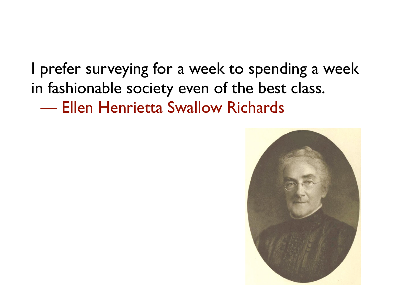I prefer surveying for a week to spending a week in fashionable society even of the best class. — Ellen Henrietta Swallow Richards

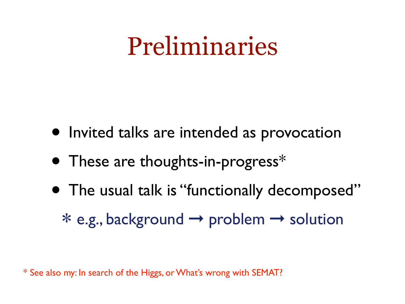#### Preliminaries

- Invited talks are intended as provocation
- These are thoughts-in-progress\*
- The usual talk is "functionally decomposed" ∗e.g., background ➞ problem ➞ solution

\* See also my: In search of the Higgs, or What's wrong with SEMAT?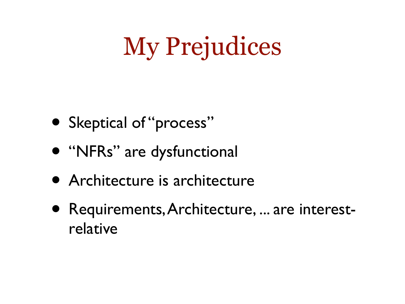# My Prejudices

- Skeptical of "process"
- "NFRs" are dysfunctional
- Architecture is architecture
- Requirements, Architecture, ... are interestrelative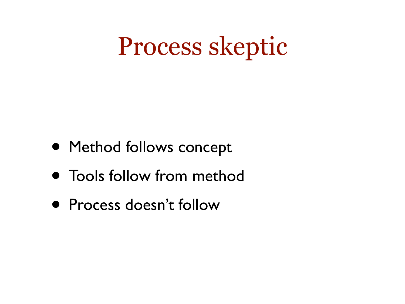## Process skeptic

- Method follows concept
- Tools follow from method
- Process doesn't follow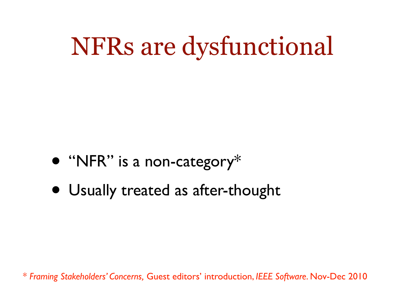# NFRs are dysfunctional

- "NFR" is a non-category\*
- Usually treated as after-thought

\* *Framing Stakeholders' Concerns,* Guest editors' introduction, *IEEE Software*. Nov-Dec 2010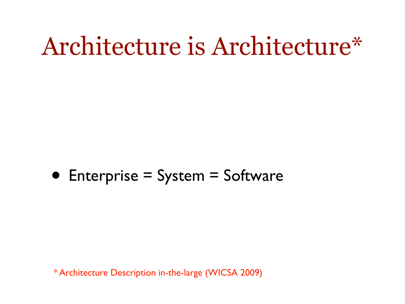#### Architecture is Architecture\*



\* Architecture Description in-the-large (WICSA 2009)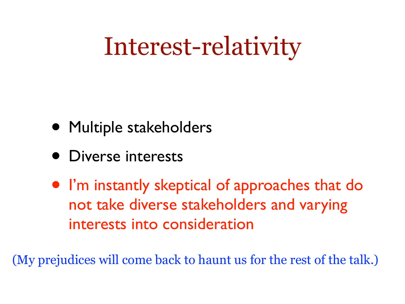## Interest-relativity

- Multiple stakeholders
- Diverse interests
- I'm instantly skeptical of approaches that do not take diverse stakeholders and varying interests into consideration

(My prejudices will come back to haunt us for the rest of the talk.)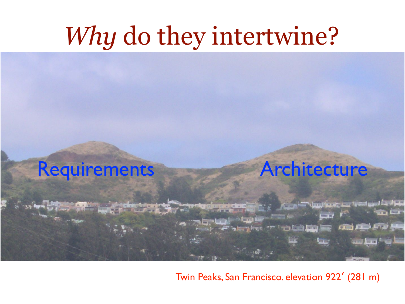# *Why* do they intertwine?



فنسا شنا ت

فينا استعوال ويتركز يتعاللونه

**CLERK** 

**GREEK LOCAL** 

Twin Peaks, San Francisco. elevation 922′ (281 m)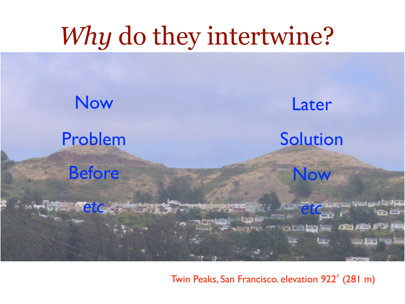## *Why* do they intertwine?



Twin Peaks, San Francisco. elevation 922′ (281 m)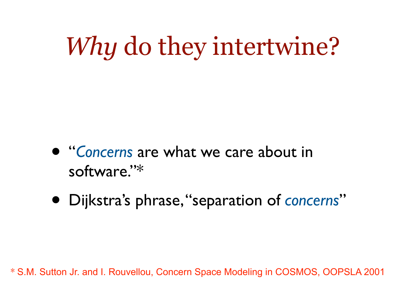*Why* do they intertwine?

- "*Concerns* are what we care about in software."\*
- Dijkstra's phrase, "separation of *concerns*"

\* S.M. Sutton Jr. and I. Rouvellou, Concern Space Modeling in COSMOS, OOPSLA 2001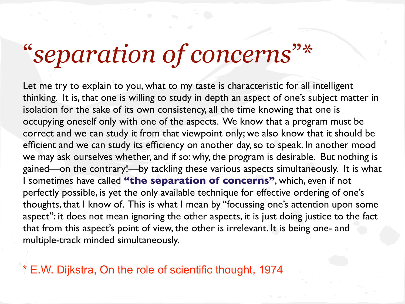#### "*separation of concerns*"\*

Let me try to explain to you, what to my taste is characteristic for all intelligent thinking. It is, that one is willing to study in depth an aspect of one's subject matter in isolation for the sake of its own consistency, all the time knowing that one is occupying oneself only with one of the aspects. We know that a program must be correct and we can study it from that viewpoint only; we also know that it should be efficient and we can study its efficiency on another day, so to speak. In another mood we may ask ourselves whether, and if so: why, the program is desirable. But nothing is gained—on the contrary!—by tackling these various aspects simultaneously. It is what I sometimes have called **"the separation of concerns"**, which, even if not perfectly possible, is yet the only available technique for effective ordering of one's thoughts, that I know of. This is what I mean by "focussing one's attention upon some aspect": it does not mean ignoring the other aspects, it is just doing justice to the fact that from this aspect's point of view, the other is irrelevant. It is being one- and multiple-track minded simultaneously.

\* E.W. Dijkstra, On the role of scientific thought, 1974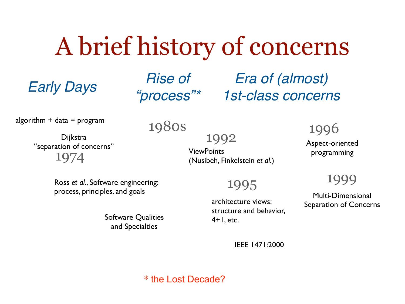# A brief history of concerns

*Rise of "process"\**

*Early Days Era of (almost) 1st-class concerns*

algorithm  $+$  data  $=$  program

#### 1980s

1974 Dijkstra "separation of concerns"

1992 ViewPoints (Nusibeh, Finkelstein *et al*.)

1995

architecture views: structure and behavior, 4+1, etc.

1996

Aspect-oriented programming

1999

Multi-Dimensional Separation of Concerns

Ross *et al*., Software engineering: process, principles, and goals

> Software Qualities and Specialties

> > IEEE 1471:2000

\* the Lost Decade?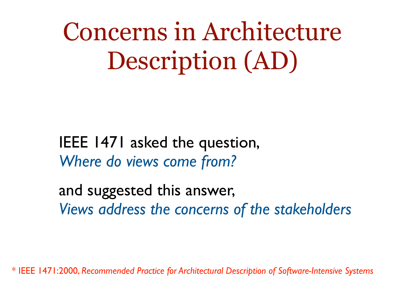Concerns in Architecture Description (AD)

IEEE 1471 asked the question, *Where do views come from?*

and suggested this answer, *Views address the concerns of the stakeholders*

\* IEEE 1471:2000, *Recommended Practice for Architectural Description of Software-Intensive Systems*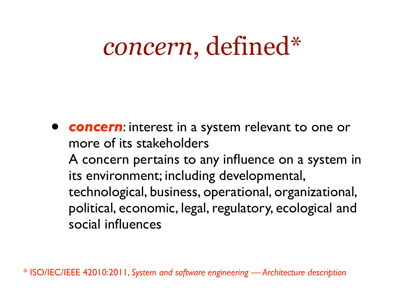#### *concern*, defined\*

• *concern*: interest in a system relevant to one or more of its stakeholders A concern pertains to any influence on a system in its environment; including developmental, technological, business, operational, organizational, political, economic, legal, regulatory, ecological and social influences

\* ISO/IEC/IEEE 42010:2011, *System and software engineering — Architecture description*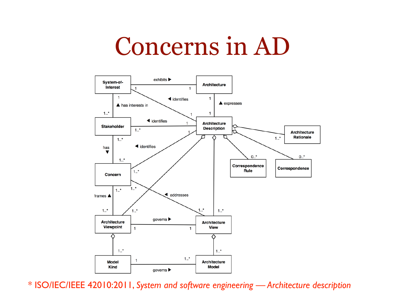#### Concerns in AD



\* ISO/IEC/IEEE 42010:2011, *System and software engineering — Architecture description*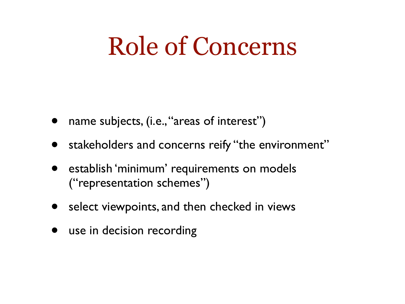## Role of Concerns

- name subjects, (i.e., "areas of interest")
- stakeholders and concerns reify "the environment"
- establish 'minimum' requirements on models ("representation schemes")
- select viewpoints, and then checked in views
- use in decision recording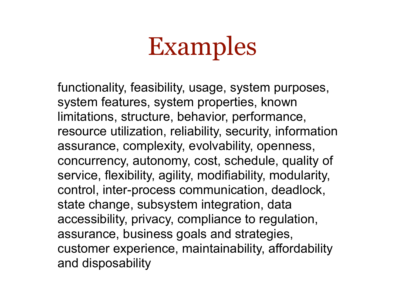# Examples

functionality, feasibility, usage, system purposes, system features, system properties, known limitations, structure, behavior, performance, resource utilization, reliability, security, information assurance, complexity, evolvability, openness, concurrency, autonomy, cost, schedule, quality of service, flexibility, agility, modifiability, modularity, control, inter-process communication, deadlock, state change, subsystem integration, data accessibility, privacy, compliance to regulation, assurance, business goals and strategies, customer experience, maintainability, affordability and disposability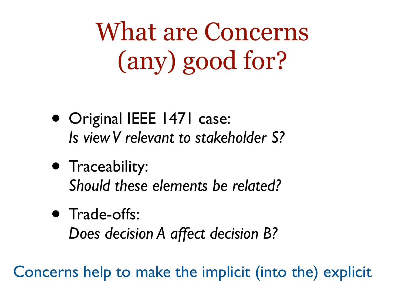What are Concerns (any) good for?

- Original IEEE 1471 case: *Is view V relevant to stakeholder S?*
- Traceability: *Should these elements be related?*
- Trade-offs: *Does decision A affect decision B?*

Concerns help to make the implicit (into the) explicit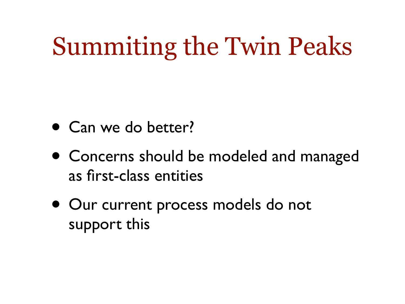# Summiting the Twin Peaks

- Can we do better?
- Concerns should be modeled and managed as first-class entities
- Our current process models do not support this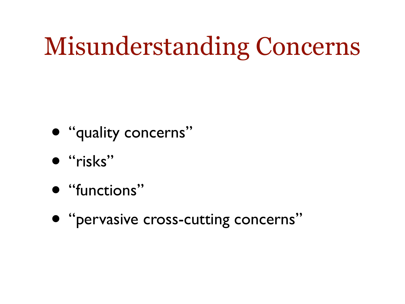# Misunderstanding Concerns



- "risks"
- "functions"
- "pervasive cross-cutting concerns"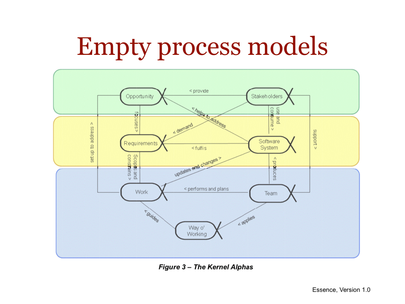# Empty process models



Figure 3 - The Kernel Alphas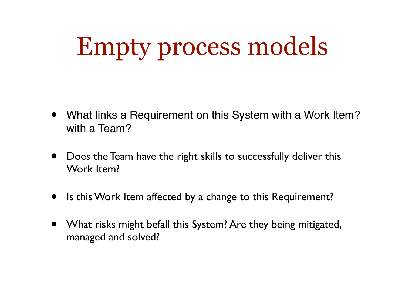# Empty process models

- What links a Requirement on this System with a Work Item? with a Team?
- Does the Team have the right skills to successfully deliver this Work Item?
- Is this Work Item affected by a change to this Requirement?
- What risks might befall this System? Are they being mitigated, managed and solved?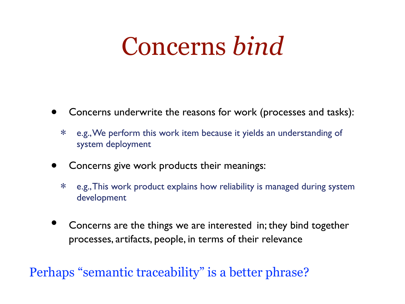## Concerns *bind*

- Concerns underwrite the reasons for work (processes and tasks):
	- ∗ e.g., We perform this work item because it yields an understanding of system deployment
- Concerns give work products their meanings:
	- ∗ e.g., This work product explains how reliability is managed during system development
- Concerns are the things we are interested in; they bind together processes, artifacts, people, in terms of their relevance

Perhaps "semantic traceability" is a better phrase?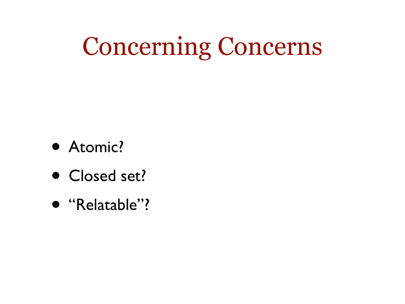# Concerning Concerns

- Atomic?
- Closed set?
- "Relatable"?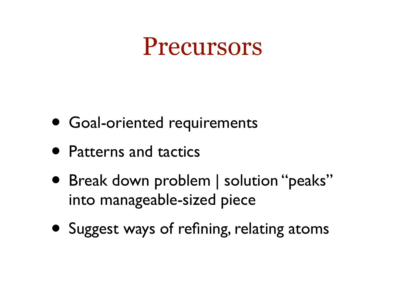#### Precursors

- Goal-oriented requirements
- Patterns and tactics
- Break down problem | solution "peaks" into manageable-sized piece
- Suggest ways of refining, relating atoms